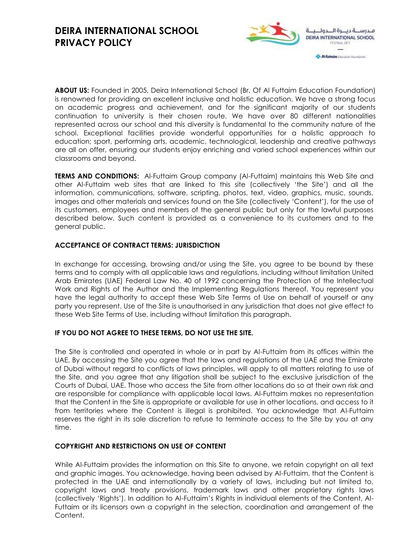

**ABOUT US:** Founded in 2005, Deira International School (Br. Of Al Futtaim Education Foundation) is renowned for providing an excellent inclusive and holistic education. We have a strong focus on academic progress and achievement, and for the significant majority of our students continuation to university is their chosen route. We have over 80 different nationalities represented across our school and this diversity is fundamental to the community nature of the school. Exceptional facilities provide wonderful opportunities for a holistic approach to education; sport, performing arts, academic, technological, leadership and creative pathways are all on offer, ensuring our students enjoy enriching and varied school experiences within our classrooms and beyond.

**TERMS AND CONDITIONS:** Al-Futtaim Group company (Al-Futtaim) maintains this Web Site and other Al-Futtaim web sites that are linked to this site (collectively 'the Site') and all the information, communications, software, scripting, photos, text, video, graphics, music, sounds, images and other materials and services found on the Site (collectively 'Content'), for the use of its customers, employees and members of the general public but only for the lawful purposes described below. Such content is provided as a convenience to its customers and to the general public.

## **ACCEPTANCE OF CONTRACT TERMS: JURISDICTION**

In exchange for accessing, browsing and/or using the Site, you agree to be bound by these terms and to comply with all applicable laws and regulations, including without limitation United Arab Emirates (UAE) Federal Law No. 40 of 1992 concerning the Protection of the Intellectual Work and Rights of the Author and the Implementing Regulations thereof. You represent you have the legal authority to accept these Web Site Terms of Use on behalf of yourself or any party you represent. Use of the Site is unauthorised in any jurisdiction that does not give effect to these Web Site Terms of Use, including without limitation this paragraph.

## **IF YOU DO NOT AGREE TO THESE TERMS, DO NOT USE THE SITE.**

The Site is controlled and operated in whole or in part by Al-Futtaim from its offices within the UAE. By accessing the Site you agree that the laws and regulations of the UAE and the Emirate of Dubai without regard to conflicts of laws principles, will apply to all matters relating to use of the Site, and you agree that any litigation shall be subject to the exclusive jurisdiction of the Courts of Dubai, UAE. Those who access the Site from other locations do so at their own risk and are responsible for compliance with applicable local laws. Al-Futtaim makes no representation that the Content in the Site is appropriate or available for use in other locations, and access to it from territories where the Content is illegal is prohibited. You acknowledge that Al-Futtaim reserves the right in its sole discretion to refuse to terminate access to the Site by you at any time.

## **COPYRIGHT AND RESTRICTIONS ON USE OF CONTENT**

While Al-Futtaim provides the information on this Site to anyone, we retain copyright on all text and graphic images. You acknowledge, having been advised by Al-Futtaim, that the Content is protected in the UAE and internationally by a variety of laws, including but not limited to, copyright laws and treaty provisions, trademark laws and other proprietary rights laws (collectively 'Rights'). In addition to Al-Futtaim's Rights in individual elements of the Content, Al-Futtaim or its licensors own a copyright in the selection, coordination and arrangement of the Content.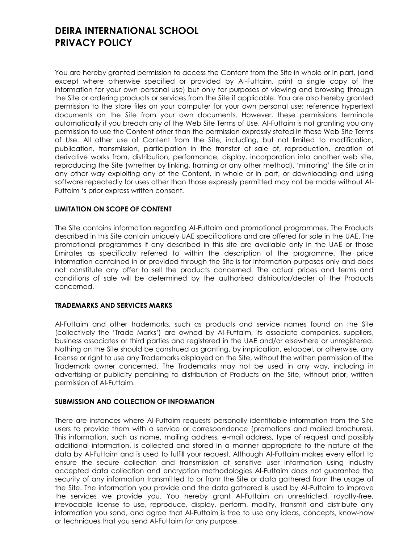You are hereby granted permission to access the Content from the Site in whole or in part, (and except where otherwise specified or provided by Al-Futtaim, print a single copy of the information for your own personal use) but only for purposes of viewing and browsing through the Site or ordering products or services from the Site if applicable. You are also hereby granted permission to the store files on your computer for your own personal use; reference hypertext documents on the Site from your own documents. However, these permissions terminate automatically if you breach any of the Web Site Terms of Use. Al-Futtaim is not granting you any permission to use the Content other than the permission expressly stated in these Web Site Terms of Use. All other use of Content from the Site, including, but not limited to modification, publication, transmission, participation in the transfer of sale of, reproduction, creation of derivative works from, distribution, performance, display, incorporation into another web site, reproducing the Site (whether by linking, framing or any other method), 'mirroring' the Site or in any other way exploiting any of the Content, in whole or in part, or downloading and using software repeatedly for uses other than those expressly permitted may not be made without Al-Futtaim 's prior express written consent.

## **LIMITATION ON SCOPE OF CONTENT**

The Site contains information regarding Al-Futtaim and promotional programmes. The Products described in this Site contain uniquely UAE specifications and are offered for sale in the UAE. The promotional programmes if any described in this site are available only in the UAE or those Emirates as specifically referred to within the description of the programme. The price information contained in or provided through the Site is for information purposes only and does not constitute any offer to sell the products concerned. The actual prices and terms and conditions of sale will be determined by the authorised distributor/dealer of the Products concerned.

## **TRADEMARKS AND SERVICES MARKS**

Al-Futtaim and other trademarks, such as products and service names found on the Site (collectively the 'Trade Marks') are owned by Al-Futtaim, its associate companies, suppliers, business associates or third parties and registered in the UAE and/or elsewhere or unregistered. Nothing on the Site should be construed as granting, by implication, estoppel, or otherwise, any license or right to use any Trademarks displayed on the Site, without the written permission of the Trademark owner concerned. The Trademarks may not be used in any way, including in advertising or publicity pertaining to distribution of Products on the Site, without prior, written permission of Al-Futtaim.

## **SUBMISSION AND COLLECTION OF INFORMATION**

There are instances where Al-Futtaim requests personally identifiable information from the Site users to provide them with a service or correspondence (promotions and mailed brochures). This information, such as name, mailing address, e-mail address, type of request and possibly additional information, is collected and stored in a manner appropriate to the nature of the data by Al-Futtaim and is used to fulfill your request. Although Al-Futtaim makes every effort to ensure the secure collection and transmission of sensitive user information using industry accepted data collection and encryption methodologies Al-Futtaim does not guarantee the security of any information transmitted to or from the Site or data gathered from the usage of the Site. The information you provide and the data gathered is used by Al-Futtaim to improve the services we provide you. You hereby grant Al-Futtaim an unrestricted, royalty-free, irrevocable license to use, reproduce, display, perform, modify, transmit and distribute any information you send, and agree that Al-Futtaim is free to use any ideas, concepts, know-how or techniques that you send Al-Futtaim for any purpose.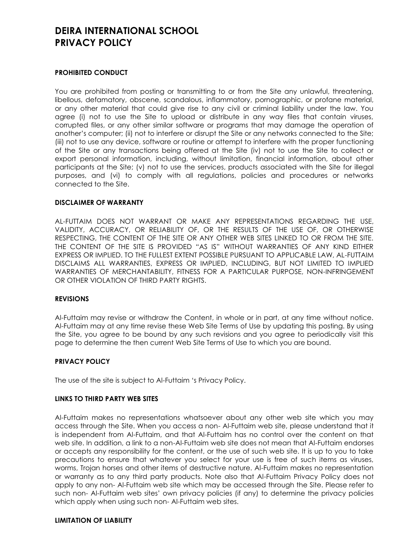#### **PROHIBITED CONDUCT**

You are prohibited from posting or transmitting to or from the Site any unlawful, threatening, libellous, defamatory, obscene, scandalous, inflammatory, pornographic, or profane material, or any other material that could give rise to any civil or criminal liability under the law. You agree (i) not to use the Site to upload or distribute in any way files that contain viruses, corrupted files, or any other similar software or programs that may damage the operation of another's computer; (ii) not to interfere or disrupt the Site or any networks connected to the Site; (iii) not to use any device, software or routine or attempt to interfere with the proper functioning of the Site or any transactions being offered at the Site (iv) not to use the Site to collect or export personal information, including, without limitation, financial information, about other participants at the Site; (v) not to use the services, products associated with the Site for illegal purposes, and (vi) to comply with all regulations, policies and procedures or networks connected to the Site.

#### **DISCLAIMER OF WARRANTY**

AL-FUTTAIM DOES NOT WARRANT OR MAKE ANY REPRESENTATIONS REGARDING THE USE, VALIDITY, ACCURACY, OR RELIABILITY OF, OR THE RESULTS OF THE USE OF, OR OTHERWISE RESPECTING, THE CONTENT OF THE SITE OR ANY OTHER WEB SITES LINKED TO OR FROM THE SITE. THE CONTENT OF THE SITE IS PROVIDED "AS IS" WITHOUT WARRANTIES OF ANY KIND EITHER EXPRESS OR IMPLIED. TO THE FULLEST EXTENT POSSIBLE PURSUANT TO APPLICABLE LAW, AL-FUTTAIM DISCLAIMS ALL WARRANTIES, EXPRESS OR IMPLIED, INCLUDING, BUT NOT LIMITED TO IMPLIED WARRANTIES OF MERCHANTABILITY, FITNESS FOR A PARTICULAR PURPOSE, NON-INFRINGEMENT OR OTHER VIOLATION OF THIRD PARTY RIGHTS.

#### **REVISIONS**

Al-Futtaim may revise or withdraw the Content, in whole or in part, at any time without notice. Al-Futtaim may at any time revise these Web Site Terms of Use by updating this posting. By using the Site, you agree to be bound by any such revisions and you agree to periodically visit this page to determine the then current Web Site Terms of Use to which you are bound.

## **PRIVACY POLICY**

The use of the site is subject to Al-Futtaim 's Privacy Policy.

#### **LINKS TO THIRD PARTY WEB SITES**

Al-Futtaim makes no representations whatsoever about any other web site which you may access through the Site. When you access a non- Al-Futtaim web site, please understand that it is independent from Al-Futtaim, and that Al-Futtaim has no control over the content on that web site. In addition, a link to a non-Al-Futtaim web site does not mean that Al-Futtaim endorses or accepts any responsibility for the content, or the use of such web site. It is up to you to take precautions to ensure that whatever you select for your use is free of such items as viruses, worms, Trojan horses and other items of destructive nature. Al-Futtaim makes no representation or warranty as to any third party products. Note also that Al-Futtaim Privacy Policy does not apply to any non- Al-Futtaim web site which may be accessed through the Site. Please refer to such non- Al-Futtaim web sites' own privacy policies (if any) to determine the privacy policies which apply when using such non- Al-Futtaim web sites.

#### **LIMITATION OF LIABILITY**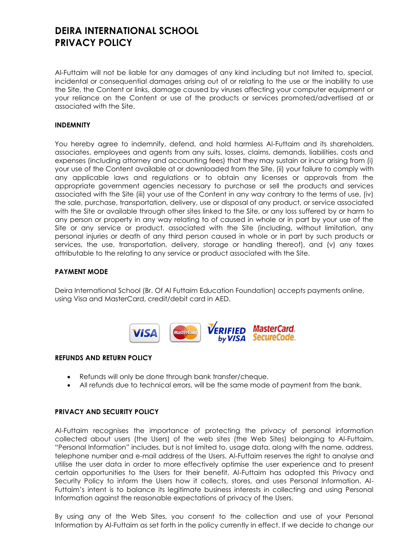Al-Futtaim will not be liable for any damages of any kind including but not limited to, special, incidental or consequential damages arising out of or relating to the use or the inability to use the Site, the Content or links, damage caused by viruses affecting your computer equipment or your reliance on the Content or use of the products or services promoted/advertised at or associated with the Site.

## **INDEMNITY**

You hereby agree to indemnify, defend, and hold harmless Al-Futtaim and its shareholders, associates, employees and agents from any suits, losses, claims, demands, liabilities, costs and expenses (including attorney and accounting fees) that they may sustain or incur arising from (i) your use of the Content available at or downloaded from the Site, (ii) your failure to comply with any applicable laws and regulations or to obtain any licenses or approvals from the appropriate government agencies necessary to purchase or sell the products and services associated with the Site (iii) your use of the Content in any way contrary to the terms of use, (iv) the sale, purchase, transportation, delivery, use or disposal of any product, or service associated with the Site or available through other sites linked to the Site, or any loss suffered by or harm to any person or property in any way relating to of caused in whole or in part by your use of the Site or any service or product, associated with the Site (including, without limitation, any personal injuries or death of any third person caused in whole or in part by such products or services, the use, transportation, delivery, storage or handling thereof), and (v) any taxes attributable to the relating to any service or product associated with the Site.

#### **PAYMENT MODE**

Deira International School (Br. Of Al Futtaim Education Foundation) accepts payments online, using Visa and MasterCard, credit/debit card in AED.



#### **REFUNDS AND RETURN POLICY**

- Refunds will only be done through bank transfer/cheque.
- All refunds due to technical errors, will be the same mode of payment from the bank.

#### **PRIVACY AND SECURITY POLICY**

Al-Futtaim recognises the importance of protecting the privacy of personal information collected about users (the Users) of the web sites (the Web Sites) belonging to Al-Futtaim. "Personal Information" includes, but is not limited to, usage data, along with the name, address, telephone number and e-mail address of the Users. Al-Futtaim reserves the right to analyse and utilise the user data in order to more effectively optimise the user experience and to present certain opportunities to the Users for their benefit. Al-Futtaim has adopted this Privacy and Security Policy to inform the Users how it collects, stores, and uses Personal Information. Al-Futtaim's intent is to balance its legitimate business interests in collecting and using Personal Information against the reasonable expectations of privacy of the Users.

By using any of the Web Sites, you consent to the collection and use of your Personal Information by Al-Futtaim as set forth in the policy currently in effect. If we decide to change our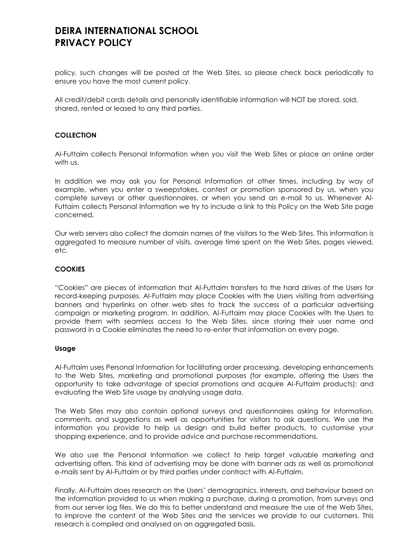policy, such changes will be posted at the Web Sites, so please check back periodically to ensure you have the most current policy.

All credit/debit cards details and personally identifiable information will NOT be stored, sold, shared, rented or leased to any third parties.

## **COLLECTION**

Al-Futtaim collects Personal Information when you visit the Web Sites or place an online order with us.

In addition we may ask you for Personal Information at other times, including by way of example, when you enter a sweepstakes, contest or promotion sponsored by us, when you complete surveys or other questionnaires, or when you send an e-mail to us. Whenever Al-Futtaim collects Personal Information we try to include a link to this Policy on the Web Site page concerned.

Our web servers also collect the domain names of the visitors to the Web Sites. This information is aggregated to measure number of visits, average time spent on the Web Sites, pages viewed, etc.

#### **COOKIES**

"Cookies" are pieces of information that Al-Futtaim transfers to the hard drives of the Users for record-keeping purposes. Al-Futtaim may place Cookies with the Users visiting from advertising banners and hyperlinks on other web sites to track the success of a particular advertising campaign or marketing program. In addition, Al-Futtaim may place Cookies with the Users to provide them with seamless access to the Web Sites, since storing their user name and password in a Cookie eliminates the need to re-enter that information on every page.

#### **Usage**

Al-Futtaim uses Personal Information for facilitating order processing, developing enhancements to the Web Sites, marketing and promotional purposes (for example, offering the Users the opportunity to take advantage of special promotions and acquire Al-Futtaim products); and evaluating the Web Site usage by analysing usage data.

The Web Sites may also contain optional surveys and questionnaires asking for information, comments, and suggestions as well as opportunities for visitors to ask questions. We use the information you provide to help us design and build better products, to customise your shopping experience, and to provide advice and purchase recommendations.

We also use the Personal Information we collect to help target valuable marketing and advertising offers. This kind of advertising may be done with banner ads as well as promotional e-mails sent by Al-Futtaim or by third parties under contract with Al-Futtaim.

Finally, Al-Futtaim does research on the Users' demographics, interests, and behaviour based on the information provided to us when making a purchase, during a promotion, from surveys and from our server log files. We do this to better understand and measure the use of the Web Sites, to improve the content of the Web Sites and the services we provide to our customers. This research is compiled and analysed on an aggregated basis.